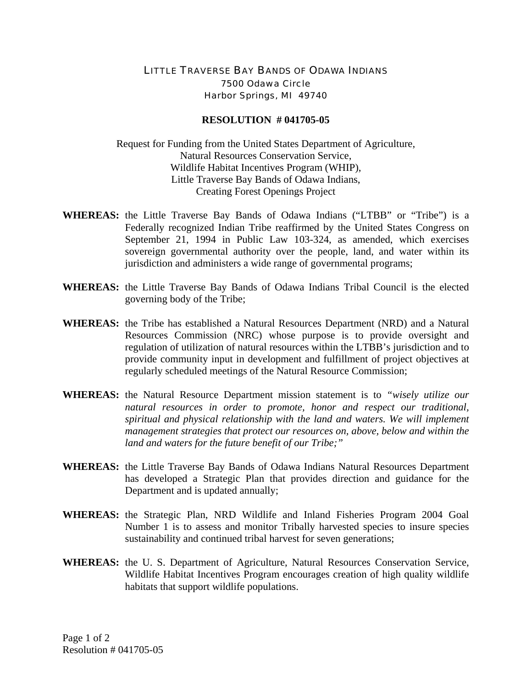## LITTLE TRAVERSE BAY BANDS OF ODAWA INDIANS 7500 Odawa Circle Harbor Springs, MI 49740

## **RESOLUTION # 041705-05**

Request for Funding from the United States Department of Agriculture, Natural Resources Conservation Service, Wildlife Habitat Incentives Program (WHIP), Little Traverse Bay Bands of Odawa Indians, Creating Forest Openings Project

- **WHEREAS:** the Little Traverse Bay Bands of Odawa Indians ("LTBB" or "Tribe") is a Federally recognized Indian Tribe reaffirmed by the United States Congress on September 21, 1994 in Public Law 103-324, as amended, which exercises sovereign governmental authority over the people, land, and water within its jurisdiction and administers a wide range of governmental programs;
- **WHEREAS:** the Little Traverse Bay Bands of Odawa Indians Tribal Council is the elected governing body of the Tribe;
- **WHEREAS:** the Tribe has established a Natural Resources Department (NRD) and a Natural Resources Commission (NRC) whose purpose is to provide oversight and regulation of utilization of natural resources within the LTBB's jurisdiction and to provide community input in development and fulfillment of project objectives at regularly scheduled meetings of the Natural Resource Commission;
- **WHEREAS:** the Natural Resource Department mission statement is to *"wisely utilize our natural resources in order to promote, honor and respect our traditional, spiritual and physical relationship with the land and waters. We will implement management strategies that protect our resources on, above, below and within the land and waters for the future benefit of our Tribe;"*
- **WHEREAS:** the Little Traverse Bay Bands of Odawa Indians Natural Resources Department has developed a Strategic Plan that provides direction and guidance for the Department and is updated annually;
- **WHEREAS:** the Strategic Plan, NRD Wildlife and Inland Fisheries Program 2004 Goal Number 1 is to assess and monitor Tribally harvested species to insure species sustainability and continued tribal harvest for seven generations;
- **WHEREAS:** the U. S. Department of Agriculture, Natural Resources Conservation Service, Wildlife Habitat Incentives Program encourages creation of high quality wildlife habitats that support wildlife populations.